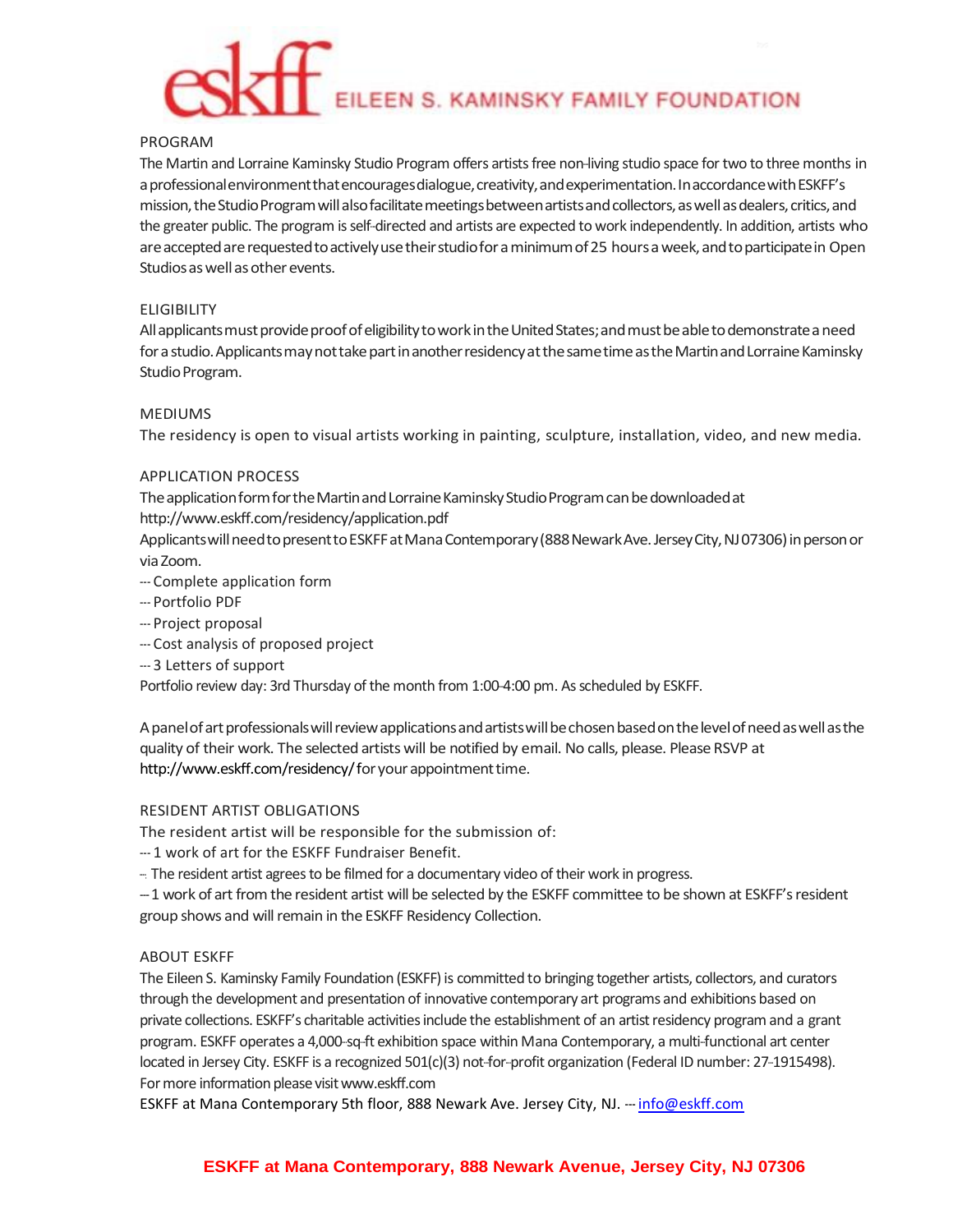# EILEEN S. KAMINSKY FAMILY FOUNDATION

## PROGRAM

The Martin and Lorraine Kaminsky Studio Program offers artists free non-living studio space for two to three months in a professionalenvironment that encourages dialogue, creativity, and experimentation. In accordance with ESKFF's mission, the Studio Program will also facilitate meetings between artists and collectors, as well as dealers, critics, and the greater public. The program is self-directed and artists are expected to work independently. In addition, artists who are accepted are requested to actively use their studio for a minimum of 25 hours a week, and to participate in Open Studios as well as other events.

# ELIGIBILITY

All applicants must provide proof of eligibility to work in the United States; and must be able to demonstrate a need for a studio. Applicants may not take part in another residency at the same time as the Martin and Lorraine Kaminsky Studio Program.

# **MEDIUMS**

The residency is open to visual artists working in painting, sculpture, installation, video, and new media.

## APPLICATION PROCESS

The application form for the Martin and Lorraine Kaminsky Studio Program can be downloaded at

## <http://www.eskff.com/residency/application.pdf>

Applicants will need to present to ESKFF at Mana Contemporary (888 Newark Ave. Jersey City, NJ07306) in person or viaZoom.

- -‐‐ Complete application form
- -‐‐ Portfolio PDF
- -‐‐ Project proposal
- -‐‐ Cost analysis of proposed project
- -‐‐ 3 Letters of support

Portfolio review day: 3rd Thursday of the month from 1:00-4:00 pm. As scheduled by ESKFF.

A panel of art professionals will review applications and artists will be chosen based on the level of need as well as the quality of their work. The selected artists will be notified by email. No calls, please. Please RSVP at [http://www.eskff.com/residency/f](http://www.eskff.com/residency/)or your appointment time.

# RESIDENT ARTIST OBLIGATIONS

The resident artist will be responsible for the submission of:

-‐‐ 1 work of art for the ESKFF Fundraiser Benefit.

---. The resident artist agrees to be filmed for a documentary video of their work in progress.

-‐‐ 1 work of art from the resident artist will be selected by the ESKFF committee to be shown at ESKFF's resident group shows and will remain in the ESKFF Residency Collection.

# ABOUT ESKFF

The Eileen S. Kaminsky Family Foundation (ESKFF) is committed to bringing together artists, collectors, and curators through the development and presentation of innovative contemporary art programs and exhibitions based on private collections. ESKFF's charitable activities include the establishment of an artist residency program and a grant program. ESKFF operates a 4,000-sq-ft exhibition space within Mana Contemporary, a multi-functional art center located in Jersey City. ESKFF is a recognized 501(c)(3) not-for-profit organization (Federal ID number: 27-1915498). For more information please visit www.eskff.com

ESKFF at Mana Contemporary 5th floor, 888 Newark Ave. Jersey City, NJ. --- [info@eskff.com](mailto:info@eskff.com)

# **ESKFF at Mana Contemporary, 888 Newark Avenue, Jersey City, NJ 07306**